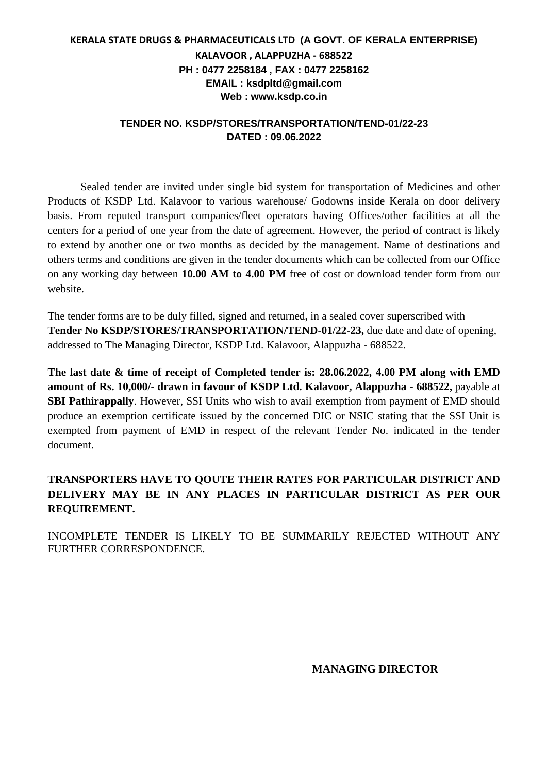#### **TENDER NO. KSDP/STORES/TRANSPORTATION/TEND-01/22-23 DATED : 09.06.2022**

Sealed tender are invited under single bid system for transportation of Medicines and other Products of KSDP Ltd. Kalavoor to various warehouse/ Godowns inside Kerala on door delivery basis. From reputed transport companies/fleet operators having Offices/other facilities at all the centers for a period of one year from the date of agreement. However, the period of contract is likely to extend by another one or two months as decided by the management. Name of destinations and others terms and conditions are given in the tender documents which can be collected from our Office on any working day between **10.00 AM to 4.00 PM** free of cost or download tender form from our website.

The tender forms are to be duly filled, signed and returned, in a sealed cover superscribed with **Tender No KSDP/STORES/TRANSPORTATION/TEND-01/22-23,** due date and date of opening, addressed to The Managing Director, KSDP Ltd. Kalavoor, Alappuzha - 688522.

**The last date & time of receipt of Completed tender is: 28.06.2022, 4.00 PM along with EMD amount of Rs. 10,000/- drawn in favour of KSDP Ltd. Kalavoor, Alappuzha - 688522,** payable at **SBI Pathirappally**. However, SSI Units who wish to avail exemption from payment of EMD should produce an exemption certificate issued by the concerned DIC or NSIC stating that the SSI Unit is exempted from payment of EMD in respect of the relevant Tender No. indicated in the tender document.

# **TRANSPORTERS HAVE TO QOUTE THEIR RATES FOR PARTICULAR DISTRICT AND DELIVERY MAY BE IN ANY PLACES IN PARTICULAR DISTRICT AS PER OUR REQUIREMENT.**

INCOMPLETE TENDER IS LIKELY TO BE SUMMARILY REJECTED WITHOUT ANY FURTHER CORRESPONDENCE.

**MANAGING DIRECTOR**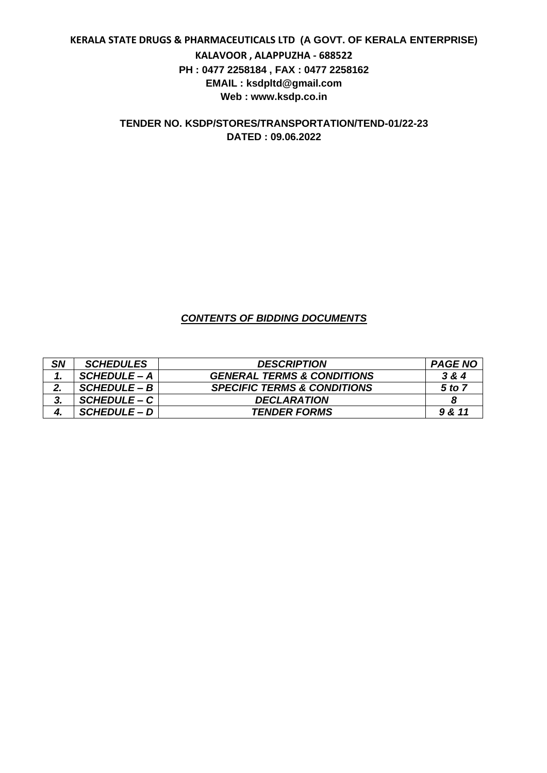# **KERALA STATE DRUGS & PHARMACEUTICALS LTD (A GOVT. OF KERALA ENTERPRISE)**

# **KALAVOOR , ALAPPUZHA - 688522 PH : 0477 2258184 , FAX : 0477 2258162 EMAIL : ksdpltd@gmail.com Web : www.ksdp.co.in**

### **TENDER NO. KSDP/STORES/TRANSPORTATION/TEND-01/22-23 DATED : 09.06.2022**

### *CONTENTS OF BIDDING DOCUMENTS*

| <b>SN</b>               | <b>SCHEDULES</b>    | <b>DESCRIPTION</b>                     | <b>PAGE NO</b> |
|-------------------------|---------------------|----------------------------------------|----------------|
| 1<br>                   | SCHEDULE – A        | <b>GENERAL TERMS &amp; CONDITIONS</b>  | 3&4            |
| $\mathbf{\Omega}$<br>z. | <b>SCHEDULE – B</b> | <b>SPECIFIC TERMS &amp; CONDITIONS</b> | 5 to 7         |
| 3.                      | SCHEDULE – C        | <b>DECLARATION</b>                     | 8              |
|                         | SCHEDULE – D        | <b>TENDER FORMS</b>                    | 9 & 11         |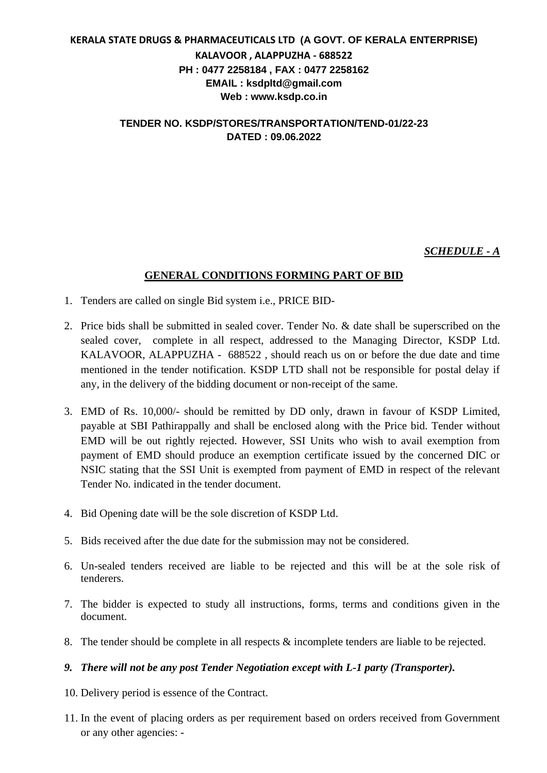### **TENDER NO. KSDP/STORES/TRANSPORTATION/TEND-01/22-23 DATED : 09.06.2022**

### *SCHEDULE - A*

#### **GENERAL CONDITIONS FORMING PART OF BID**

- 1. Tenders are called on single Bid system i.e., PRICE BID-
- 2. Price bids shall be submitted in sealed cover. Tender No. & date shall be superscribed on the sealed cover, complete in all respect, addressed to the Managing Director, KSDP Ltd. KALAVOOR, ALAPPUZHA - 688522 , should reach us on or before the due date and time mentioned in the tender notification. KSDP LTD shall not be responsible for postal delay if any, in the delivery of the bidding document or non-receipt of the same.
- 3. EMD of Rs. 10,000/- should be remitted by DD only, drawn in favour of KSDP Limited, payable at SBI Pathirappally and shall be enclosed along with the Price bid. Tender without EMD will be out rightly rejected. However, SSI Units who wish to avail exemption from payment of EMD should produce an exemption certificate issued by the concerned DIC or NSIC stating that the SSI Unit is exempted from payment of EMD in respect of the relevant Tender No. indicated in the tender document.
- 4. Bid Opening date will be the sole discretion of KSDP Ltd.
- 5. Bids received after the due date for the submission may not be considered.
- 6. Un-sealed tenders received are liable to be rejected and this will be at the sole risk of tenderers.
- 7. The bidder is expected to study all instructions, forms, terms and conditions given in the document.
- 8. The tender should be complete in all respects & incomplete tenders are liable to be rejected.

#### *9. There will not be any post Tender Negotiation except with L-1 party (Transporter).*

- 10. Delivery period is essence of the Contract.
- 11. In the event of placing orders as per requirement based on orders received from Government or any other agencies: -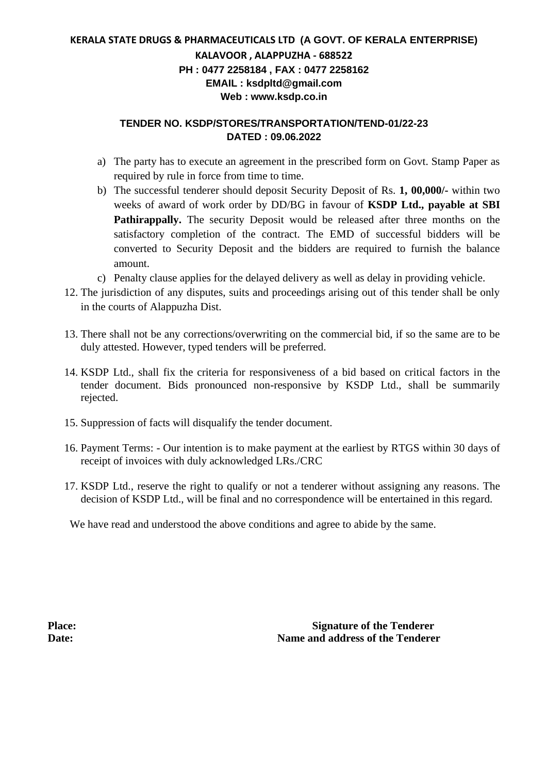### **TENDER NO. KSDP/STORES/TRANSPORTATION/TEND-01/22-23 DATED : 09.06.2022**

- a) The party has to execute an agreement in the prescribed form on Govt. Stamp Paper as required by rule in force from time to time.
- b) The successful tenderer should deposit Security Deposit of Rs. **1, 00,000/-** within two weeks of award of work order by DD/BG in favour of **KSDP Ltd., payable at SBI Pathirappally.** The security Deposit would be released after three months on the satisfactory completion of the contract. The EMD of successful bidders will be converted to Security Deposit and the bidders are required to furnish the balance amount.
- c) Penalty clause applies for the delayed delivery as well as delay in providing vehicle.
- 12. The jurisdiction of any disputes, suits and proceedings arising out of this tender shall be only in the courts of Alappuzha Dist.
- 13. There shall not be any corrections/overwriting on the commercial bid, if so the same are to be duly attested. However, typed tenders will be preferred.
- 14. KSDP Ltd., shall fix the criteria for responsiveness of a bid based on critical factors in the tender document. Bids pronounced non-responsive by KSDP Ltd., shall be summarily rejected.
- 15. Suppression of facts will disqualify the tender document.
- 16. Payment Terms: Our intention is to make payment at the earliest by RTGS within 30 days of receipt of invoices with duly acknowledged LRs./CRC
- 17. KSDP Ltd., reserve the right to qualify or not a tenderer without assigning any reasons. The decision of KSDP Ltd., will be final and no correspondence will be entertained in this regard.

We have read and understood the above conditions and agree to abide by the same.

**Place: Signature of the Tenderer Date: Name and address of the Tenderer**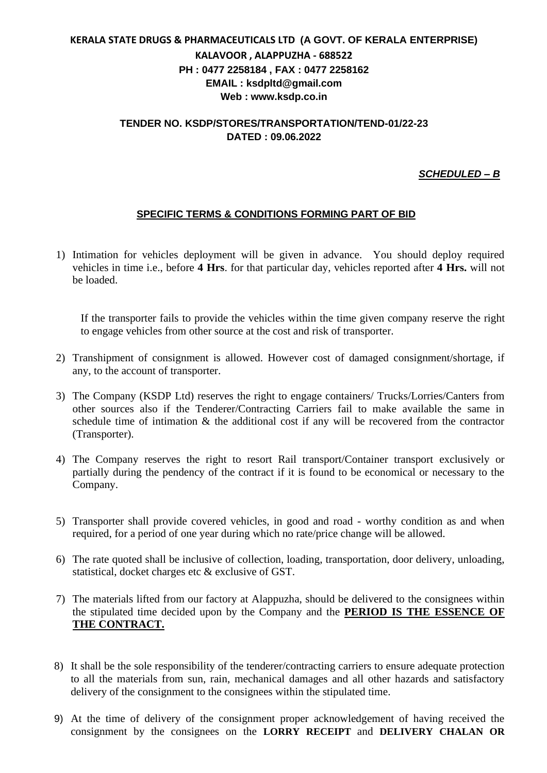### **TENDER NO. KSDP/STORES/TRANSPORTATION/TEND-01/22-23 DATED : 09.06.2022**

*SCHEDULED – B*

### **SPECIFIC TERMS & CONDITIONS FORMING PART OF BID**

1) Intimation for vehicles deployment will be given in advance. You should deploy required vehicles in time i.e., before **4 Hrs**. for that particular day, vehicles reported after **4 Hrs.** will not be loaded.

If the transporter fails to provide the vehicles within the time given company reserve the right to engage vehicles from other source at the cost and risk of transporter.

- 2) Transhipment of consignment is allowed. However cost of damaged consignment/shortage, if any, to the account of transporter.
- 3) The Company (KSDP Ltd) reserves the right to engage containers/ Trucks/Lorries/Canters from other sources also if the Tenderer/Contracting Carriers fail to make available the same in schedule time of intimation & the additional cost if any will be recovered from the contractor (Transporter).
- 4) The Company reserves the right to resort Rail transport/Container transport exclusively or partially during the pendency of the contract if it is found to be economical or necessary to the Company.
- 5) Transporter shall provide covered vehicles, in good and road worthy condition as and when required, for a period of one year during which no rate/price change will be allowed.
- 6) The rate quoted shall be inclusive of collection, loading, transportation, door delivery, unloading, statistical, docket charges etc & exclusive of GST.
- 7) The materials lifted from our factory at Alappuzha, should be delivered to the consignees within the stipulated time decided upon by the Company and the **PERIOD IS THE ESSENCE OF THE CONTRACT.**
- 8) It shall be the sole responsibility of the tenderer/contracting carriers to ensure adequate protection to all the materials from sun, rain, mechanical damages and all other hazards and satisfactory delivery of the consignment to the consignees within the stipulated time.
- 9) At the time of delivery of the consignment proper acknowledgement of having received the consignment by the consignees on the **LORRY RECEIPT** and **DELIVERY CHALAN OR**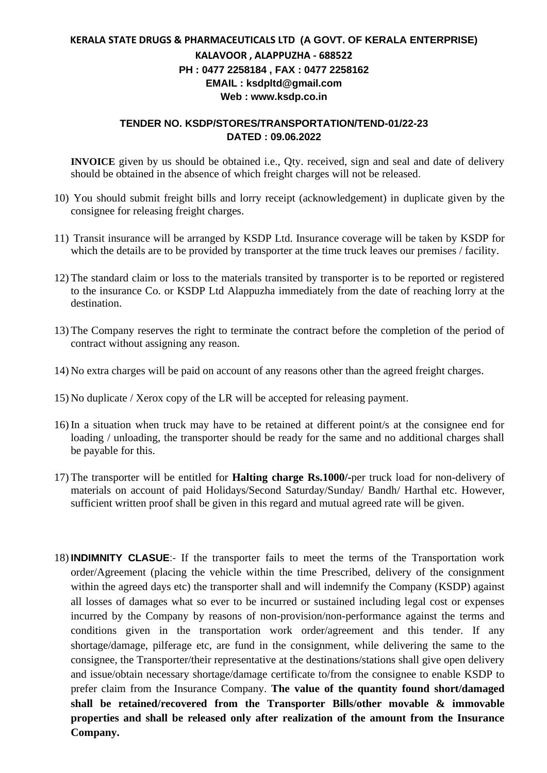### **TENDER NO. KSDP/STORES/TRANSPORTATION/TEND-01/22-23 DATED : 09.06.2022**

**INVOICE** given by us should be obtained i.e., Qty. received, sign and seal and date of delivery should be obtained in the absence of which freight charges will not be released.

- 10) You should submit freight bills and lorry receipt (acknowledgement) in duplicate given by the consignee for releasing freight charges.
- 11) Transit insurance will be arranged by KSDP Ltd. Insurance coverage will be taken by KSDP for which the details are to be provided by transporter at the time truck leaves our premises / facility.
- 12) The standard claim or loss to the materials transited by transporter is to be reported or registered to the insurance Co. or KSDP Ltd Alappuzha immediately from the date of reaching lorry at the destination.
- 13) The Company reserves the right to terminate the contract before the completion of the period of contract without assigning any reason.
- 14) No extra charges will be paid on account of any reasons other than the agreed freight charges.
- 15) No duplicate / Xerox copy of the LR will be accepted for releasing payment.
- 16) In a situation when truck may have to be retained at different point/s at the consignee end for loading / unloading, the transporter should be ready for the same and no additional charges shall be payable for this.
- 17) The transporter will be entitled for **Halting charge Rs.1000/-**per truck load for non-delivery of materials on account of paid Holidays/Second Saturday/Sunday/ Bandh/ Harthal etc. However, sufficient written proof shall be given in this regard and mutual agreed rate will be given.
- 18) **INDIMNITY CLASUE**:- If the transporter fails to meet the terms of the Transportation work order/Agreement (placing the vehicle within the time Prescribed, delivery of the consignment within the agreed days etc) the transporter shall and will indemnify the Company (KSDP) against all losses of damages what so ever to be incurred or sustained including legal cost or expenses incurred by the Company by reasons of non-provision/non-performance against the terms and conditions given in the transportation work order/agreement and this tender. If any shortage/damage, pilferage etc, are fund in the consignment, while delivering the same to the consignee, the Transporter/their representative at the destinations/stations shall give open delivery and issue/obtain necessary shortage/damage certificate to/from the consignee to enable KSDP to prefer claim from the Insurance Company. **The value of the quantity found short/damaged shall be retained/recovered from the Transporter Bills/other movable & immovable properties and shall be released only after realization of the amount from the Insurance Company.**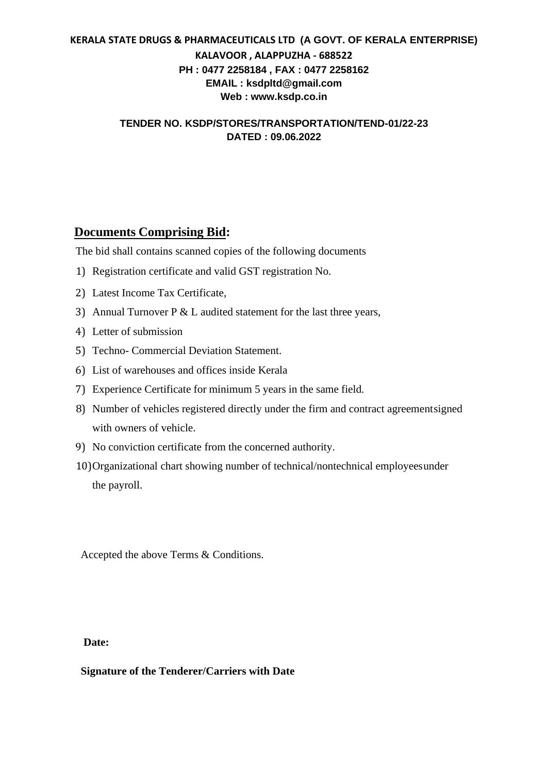### **TENDER NO. KSDP/STORES/TRANSPORTATION/TEND-01/22-23 DATED : 09.06.2022**

# **Documents Comprising Bid:**

The bid shall contains scanned copies of the following documents

- 1) Registration certificate and valid GST registration No.
- 2) Latest Income Tax Certificate,
- 3) Annual Turnover  $P \& L$  audited statement for the last three years,
- 4) Letter of submission
- 5) Techno- Commercial Deviation Statement.
- 6) List of warehouses and offices inside Kerala
- 7) Experience Certificate for minimum 5 years in the same field.
- 8) Number of vehicles registered directly under the firm and contract agreementsigned with owners of vehicle.
- 9) No conviction certificate from the concerned authority.
- 10)Organizational chart showing number of technical/nontechnical employeesunder the payroll.

Accepted the above Terms & Conditions.

#### **Date:**

### **Signature of the Tenderer/Carriers with Date**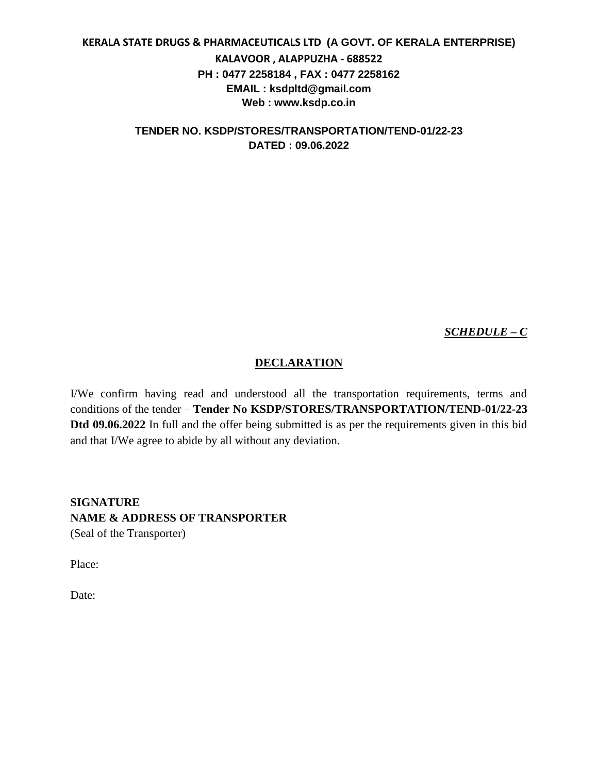**TENDER NO. KSDP/STORES/TRANSPORTATION/TEND-01/22-23 DATED : 09.06.2022**

*SCHEDULE – C*

# **DECLARATION**

I/We confirm having read and understood all the transportation requirements, terms and conditions of the tender – **Tender No KSDP/STORES/TRANSPORTATION/TEND-01/22-23 Dtd 09.06.2022** In full and the offer being submitted is as per the requirements given in this bid and that I/We agree to abide by all without any deviation.

**SIGNATURE NAME & ADDRESS OF TRANSPORTER** (Seal of the Transporter)

Place:

Date: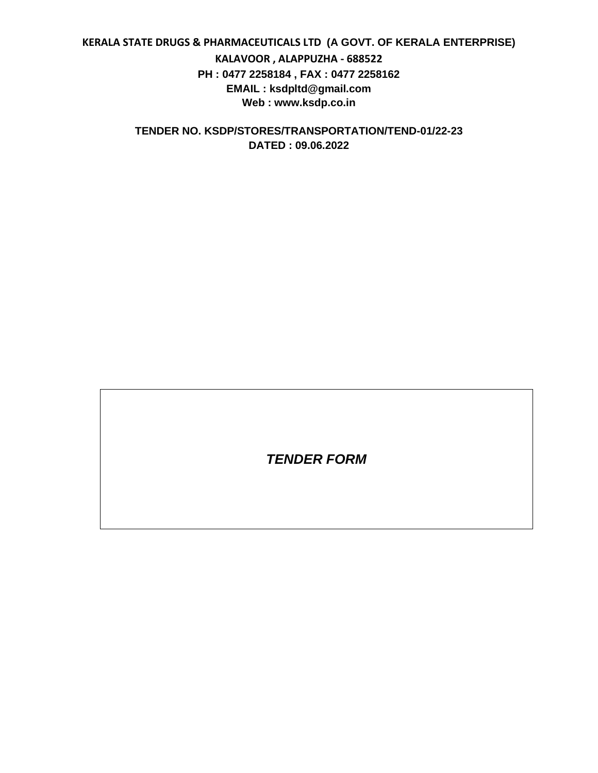**Web : www.ksdp.co.in**

**TENDER NO. KSDP/STORES/TRANSPORTATION/TEND-01/22-23 DATED : 09.06.2022**

*TENDER FORM*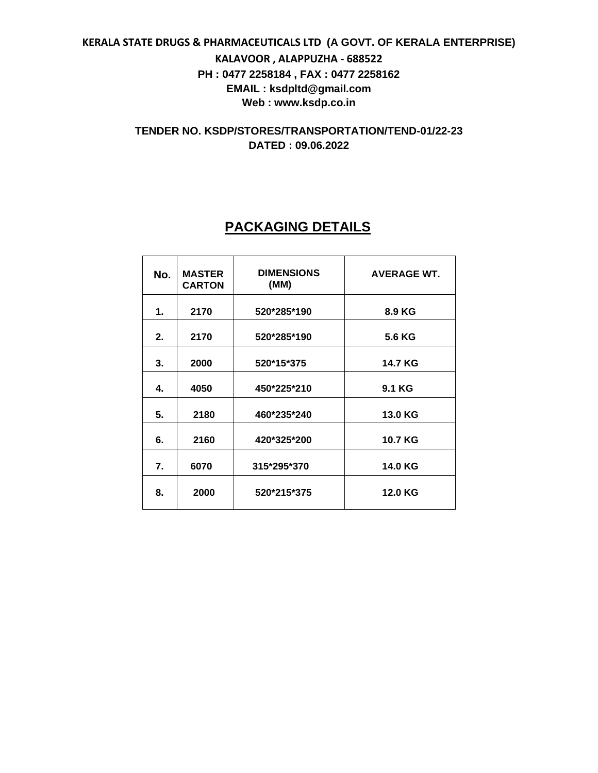### **KERALA STATE DRUGS & PHARMACEUTICALS LTD (A GOVT. OF KERALA ENTERPRISE)**

## **KALAVOOR , ALAPPUZHA - 688522 PH : 0477 2258184 , FAX : 0477 2258162 EMAIL : ksdpltd@gmail.com Web : www.ksdp.co.in**

**TENDER NO. KSDP/STORES/TRANSPORTATION/TEND-01/22-23 DATED : 09.06.2022**

# **PACKAGING DETAILS**

| No. | <b>MASTER</b><br><b>CARTON</b> | <b>DIMENSIONS</b><br>(MM) | <b>AVERAGE WT.</b> |
|-----|--------------------------------|---------------------------|--------------------|
| 1.  | 2170                           | 520*285*190               | 8.9 KG             |
| 2.  | 2170                           | 520*285*190               | 5.6 KG             |
| 3.  | 2000                           | 520*15*375                | 14.7 KG            |
| 4.  | 4050                           | 450*225*210               | <b>9.1 KG</b>      |
| 5.  | 2180                           | 460*235*240               | 13.0 KG            |
| 6.  | 2160                           | 420*325*200               | 10.7 KG            |
| 7.  | 6070                           | 315*295*370               | 14.0 KG            |
| 8.  | 2000                           | 520*215*375               | 12.0 KG            |
|     |                                |                           |                    |